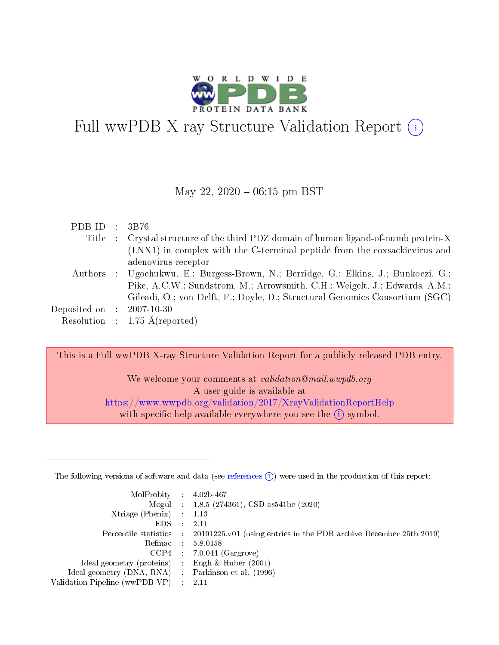

# Full wwPDB X-ray Structure Validation Report (i)

### May 22,  $2020 - 06:15$  pm BST

| PDB ID : $3B76$             |                                                                               |
|-----------------------------|-------------------------------------------------------------------------------|
| Title                       | : Crystal structure of the third PDZ domain of human ligand-of-numb protein-X |
|                             | (LNX1) in complex with the C-terminal peptide from the coxsackievirus and     |
|                             | adenovirus receptor                                                           |
| Authors                     | : Ugochukwu, E.; Burgess-Brown, N.; Berridge, G.; Elkins, J.; Bunkoczi, G.;   |
|                             | Pike, A.C.W.; Sundstrom, M.; Arrowsmith, C.H.; Weigelt, J.; Edwards, A.M.;    |
|                             | Gileadi, O.; von Delft, F.; Doyle, D.; Structural Genomics Consortium (SGC)   |
| Deposited on : $2007-10-30$ |                                                                               |
|                             | Resolution : $1.75 \text{ Å}$ (reported)                                      |

This is a Full wwPDB X-ray Structure Validation Report for a publicly released PDB entry.

We welcome your comments at validation@mail.wwpdb.org A user guide is available at <https://www.wwpdb.org/validation/2017/XrayValidationReportHelp> with specific help available everywhere you see the  $(i)$  symbol.

The following versions of software and data (see [references](https://www.wwpdb.org/validation/2017/XrayValidationReportHelp#references)  $(1)$ ) were used in the production of this report:

| $MolProbability$ 4.02b-467                          |               |                                                                                            |
|-----------------------------------------------------|---------------|--------------------------------------------------------------------------------------------|
|                                                     |               | Mogul : 1.8.5 (274361), CSD as 541be (2020)                                                |
| Xtriage (Phenix) $: 1.13$                           |               |                                                                                            |
| EDS -                                               | $\mathcal{L}$ | -2.11                                                                                      |
|                                                     |               | Percentile statistics : 20191225.v01 (using entries in the PDB archive December 25th 2019) |
| Refmac $5.8.0158$                                   |               |                                                                                            |
| CCP4                                                |               | $7.0.044$ (Gargrove)                                                                       |
| Ideal geometry (proteins)                           | $\sim 100$    | Engh $\&$ Huber (2001)                                                                     |
| Ideal geometry (DNA, RNA) : Parkinson et al. (1996) |               |                                                                                            |
| Validation Pipeline (wwPDB-VP) : 2.11               |               |                                                                                            |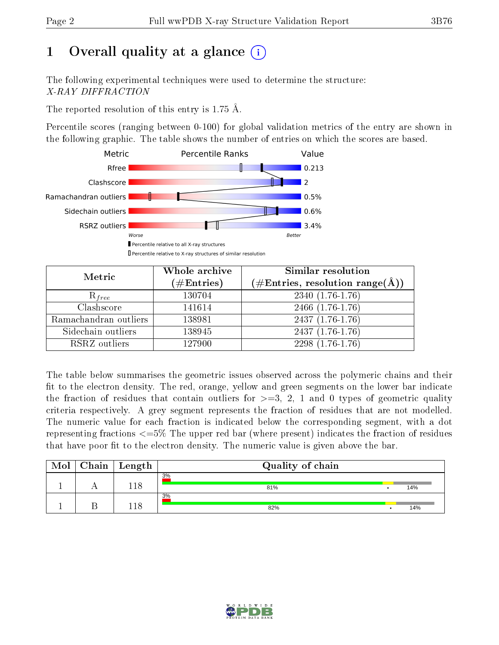# 1 [O](https://www.wwpdb.org/validation/2017/XrayValidationReportHelp#overall_quality)verall quality at a glance  $(i)$

The following experimental techniques were used to determine the structure: X-RAY DIFFRACTION

The reported resolution of this entry is 1.75 Å.

Percentile scores (ranging between 0-100) for global validation metrics of the entry are shown in the following graphic. The table shows the number of entries on which the scores are based.



| Metric                | Whole archive<br>$(\#\text{Entries})$ | Similar resolution<br>$(\#\text{Entries}, \text{resolution range}(\textup{\AA}))$ |
|-----------------------|---------------------------------------|-----------------------------------------------------------------------------------|
| $R_{free}$            | 130704                                | $2340(1.76-1.76)$                                                                 |
| Clashscore            | 141614                                | $2466$ $(1.76-1.76)$                                                              |
| Ramachandran outliers | 138981                                | $2437(1.76-1.76)$                                                                 |
| Sidechain outliers    | 138945                                | $2437(1.76-1.76)$                                                                 |
| RSRZ outliers         | 127900                                | $2298(1.76-1.76)$                                                                 |

The table below summarises the geometric issues observed across the polymeric chains and their fit to the electron density. The red, orange, yellow and green segments on the lower bar indicate the fraction of residues that contain outliers for  $>=3, 2, 1$  and 0 types of geometric quality criteria respectively. A grey segment represents the fraction of residues that are not modelled. The numeric value for each fraction is indicated below the corresponding segment, with a dot representing fractions  $\epsilon=5\%$  The upper red bar (where present) indicates the fraction of residues that have poor fit to the electron density. The numeric value is given above the bar.

| Mol | $Chain$ Length | Quality of chain |     |
|-----|----------------|------------------|-----|
|     | ∣ 1 O          | 3%<br>81%        | 14% |
|     | ∣ 1 O          | 3%<br>82%        | 14% |

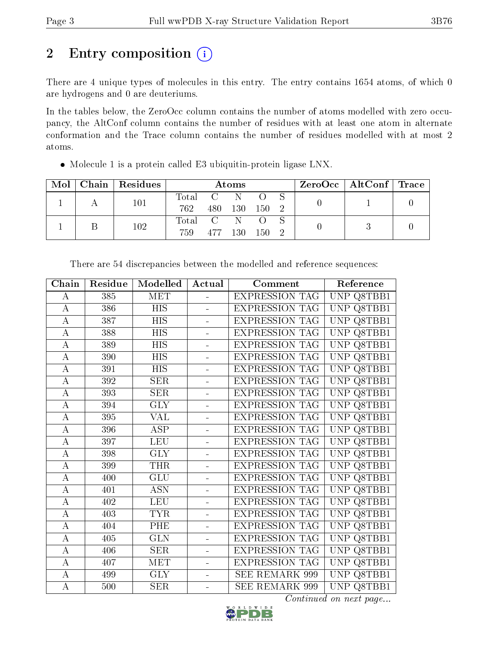# 2 Entry composition (i)

There are 4 unique types of molecules in this entry. The entry contains 1654 atoms, of which 0 are hydrogens and 0 are deuteriums.

In the tables below, the ZeroOcc column contains the number of atoms modelled with zero occupancy, the AltConf column contains the number of residues with at least one atom in alternate conformation and the Trace column contains the number of residues modelled with at most 2 atoms.

| Mol |         | Chain Residues | Atoms |            |       |  |  | $\text{ZeroOcc}$   AltConf   Trace |  |
|-----|---------|----------------|-------|------------|-------|--|--|------------------------------------|--|
|     |         |                | Total |            |       |  |  |                                    |  |
|     | $101\,$ | 762            | 480   | <b>130</b> | 150 2 |  |  |                                    |  |
|     |         | 102            | Total |            |       |  |  |                                    |  |
|     |         | 759            |       | 130        | 150   |  |  |                                    |  |

Molecule 1 is a protein called E3 ubiquitin-protein ligase LNX.

| Chain              | Residue | Modelled                | Actual   | Comment               | Reference                         |
|--------------------|---------|-------------------------|----------|-----------------------|-----------------------------------|
| А                  | 385     | <b>MET</b>              | ÷.       | <b>EXPRESSION TAG</b> | UNP Q8TBB1                        |
| А                  | 386     | <b>HIS</b>              |          | <b>EXPRESSION TAG</b> | UNP Q8TBB1                        |
| А                  | 387     | $\overline{HIS}$        |          | <b>EXPRESSION TAG</b> | UNP Q8TBB1                        |
| А                  | 388     | <b>HIS</b>              | L,       | <b>EXPRESSION TAG</b> | <b>UNP</b><br>Q8TBB1              |
| $\boldsymbol{A}$   | 389     | $\overline{HIS}$        |          | <b>EXPRESSION TAG</b> | UNP Q8TBB1                        |
| $\overline{A}$     | 390     | <b>HIS</b>              | $\equiv$ | <b>EXPRESSION TAG</b> | <b>UNP</b><br>Q8TBB1              |
| $\boldsymbol{A}$   | 391     | <b>HIS</b>              | $\equiv$ | <b>EXPRESSION TAG</b> | UNP Q8TBB1                        |
| $\overline{\rm A}$ | 392     | <b>SER</b>              | ÷,       | <b>EXPRESSION TAG</b> | UNP Q8TBB1                        |
| $\boldsymbol{A}$   | 393     | <b>SER</b>              |          | <b>EXPRESSION TAG</b> | <b>UNP</b><br>Q8TBB1              |
| $\overline{\rm A}$ | 394     | $\overline{\text{GLY}}$ |          | <b>EXPRESSION TAG</b> | <b>UNP</b><br>Q8TBB1              |
| $\boldsymbol{A}$   | 395     | VAL                     |          | <b>EXPRESSION TAG</b> | <b>UNP</b><br>Q8TBB1              |
| $\boldsymbol{A}$   | 396     | <b>ASP</b>              |          | <b>EXPRESSION TAG</b> | <b>UNP</b><br>Q8TBB1              |
| $\boldsymbol{A}$   | 397     | LEU                     | ÷.       | <b>EXPRESSION TAG</b> | <b>UNP</b><br>Q8TBB1              |
| А                  | 398     | <b>GLY</b>              | $\equiv$ | <b>EXPRESSION TAG</b> | UNP Q8TBB1                        |
| A                  | 399     | <b>THR</b>              | ÷,       | <b>EXPRESSION TAG</b> | UNP Q8TBB1                        |
| $\bf{A}$           | 400     | <b>GLU</b>              |          | <b>EXPRESSION TAG</b> | UNP Q8TBB1                        |
| $\boldsymbol{A}$   | 401     | $\overline{\text{ASN}}$ | ÷,       | <b>EXPRESSION TAG</b> | UNP Q8TBB1                        |
| $\boldsymbol{A}$   | 402     | <b>LEU</b>              | ÷,       | <b>EXPRESSION TAG</b> | <b>UNP</b><br>Q8TBB1              |
| $\overline{A}$     | 403     | <b>TYR</b>              |          | <b>EXPRESSION TAG</b> | <b>UNP</b><br>Q8TBB1              |
| $\boldsymbol{A}$   | 404     | PHE                     |          | <b>EXPRESSION TAG</b> | <b>UNP</b><br>$Q8T\overline{BB1}$ |
| А                  | 405     | <b>GLN</b>              |          | <b>EXPRESSION TAG</b> | UNP<br>Q8TBB1                     |
| $\boldsymbol{A}$   | 406     | <b>SER</b>              | ÷,       | <b>EXPRESSION TAG</b> | $\overline{\text{UNP}}$<br>Q8TBB1 |
| $\boldsymbol{A}$   | 407     | <b>MET</b>              |          | <b>EXPRESSION TAG</b> | Q8TBB1<br><b>UNP</b>              |
| A                  | 499     | <b>GLY</b>              | ÷,       | SEE REMARK 999        | UNP<br>Q8TBB1                     |
| $\overline{A}$     | 500     | <b>SER</b>              | L,       | <b>SEE REMARK 999</b> | UNP Q8TBB1                        |

There are 54 discrepancies between the modelled and reference sequences:

Continued on next page...

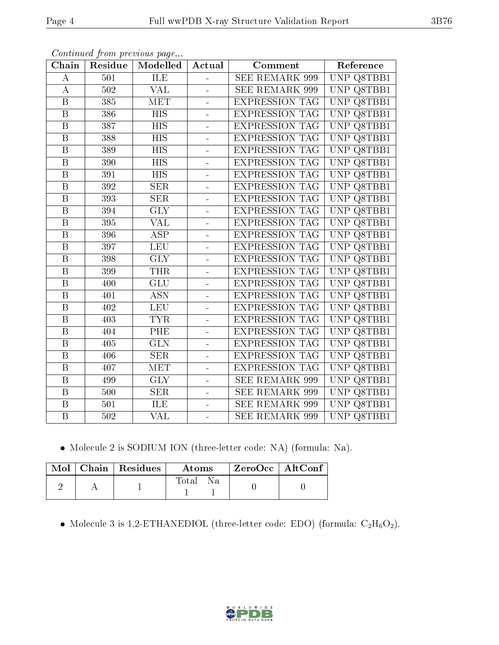| Chain                   | Residue          | Modelled                | Actual                   | Comment               | Reference                         |
|-------------------------|------------------|-------------------------|--------------------------|-----------------------|-----------------------------------|
| А                       | 501              | ILE                     |                          | <b>SEE REMARK 999</b> | UNP Q8TBB1                        |
| А                       | 502              | <b>VAL</b>              | $\equiv$                 | <b>SEE REMARK 999</b> | UNP<br>Q8TBB1                     |
| B                       | 385              | <b>MET</b>              | ÷.                       | <b>EXPRESSION TAG</b> | Q8TBB1<br>UNP                     |
| B                       | 386              | <b>HIS</b>              | $\equiv$                 | <b>EXPRESSION TAG</b> | UNP Q8TBB1                        |
| $\overline{\mathbf{B}}$ | $\overline{387}$ | $\overline{HIS}$        | ÷.                       | <b>EXPRESSION TAG</b> | UNP Q8TBB1                        |
| B                       | 388              | <b>HIS</b>              | ÷.                       | <b>EXPRESSION TAG</b> | UNP Q8TBB1                        |
| $\overline{B}$          | 389              | <b>HIS</b>              | $\equiv$                 | <b>EXPRESSION TAG</b> | UNP<br>Q8TBB1                     |
| $\boldsymbol{B}$        | 390              | <b>HIS</b>              | $\overline{a}$           | EXPRESSION TAG        | UNP Q8TBB1                        |
| $\, {\bf B}$            | 391              | <b>HIS</b>              | $\equiv$                 | <b>EXPRESSION TAG</b> | UNP Q8TBB1                        |
| $\overline{\mathrm{B}}$ | 392              | SER                     | $\equiv$                 | <b>EXPRESSION TAG</b> | UNP Q8TBB1                        |
| B                       | 393              | <b>SER</b>              | ÷                        | <b>EXPRESSION TAG</b> | UNP Q8TBB1                        |
| $\boldsymbol{B}$        | 394              | <b>GLY</b>              | ÷                        | <b>EXPRESSION TAG</b> | UNP Q8TBB1                        |
| B                       | 395              | VAL                     | $\equiv$                 | <b>EXPRESSION TAG</b> | UNP Q8TBB1                        |
| $\overline{B}$          | 396              | $\overline{\text{ASP}}$ | ÷                        | <b>EXPRESSION TAG</b> | UNP Q8TBB1                        |
| $\mathbf B$             | 397              | <b>LEU</b>              | ÷                        | <b>EXPRESSION TAG</b> | UNP<br>Q8TBB1                     |
| $\mathbf B$             | 398              | <b>GLY</b>              | ÷                        | <b>EXPRESSION TAG</b> | UNP Q8TBB1                        |
| $\boldsymbol{B}$        | 399              | <b>THR</b>              | $\overline{\phantom{0}}$ | <b>EXPRESSION TAG</b> | UNP Q8TBB1                        |
| $\overline{B}$          | 400              | <b>GLU</b>              | ÷                        | <b>EXPRESSION TAG</b> | UNP Q8TBB1                        |
| $\boldsymbol{B}$        | 401              | <b>ASN</b>              | $\equiv$                 | <b>EXPRESSION TAG</b> | UNP Q8TBB1                        |
| $\overline{B}$          | 402              | <b>LEU</b>              | ÷,                       | <b>EXPRESSION TAG</b> | UNP Q8TBB1                        |
| $\mathbf B$             | 403              | <b>TYR</b>              | $\blacksquare$           | <b>EXPRESSION TAG</b> | UNP Q8TBB1                        |
| $\overline{\mathbf{B}}$ | 404              | <b>PHE</b>              | ÷,                       | <b>EXPRESSION TAG</b> | <b>UNP</b><br>Q8TBB1              |
| B                       | 405              | <b>GLN</b>              | $\blacksquare$           | <b>EXPRESSION TAG</b> | <b>UNP</b><br>Q8TBB1              |
| $\overline{\mathrm{B}}$ | 406              | SER                     | $\overline{a}$           | <b>EXPRESSION TAG</b> | <b>UNP</b><br>$Q8T\overline{B}B1$ |
| $\overline{B}$          | 407              | <b>MET</b>              | ÷                        | <b>EXPRESSION TAG</b> | <b>UNP</b><br>Q8TBB1              |
| B                       | 499              | <b>GLY</b>              | ÷                        | <b>SEE REMARK 999</b> | UNP<br>Q8TBB1                     |
| $\overline{\mathbf{B}}$ | 500              | <b>SER</b>              | ÷,                       | <b>SEE REMARK 999</b> | <b>UNP</b><br>Q8TBB1              |
| $\overline{B}$          | 501              | ILE                     |                          | SEE REMARK 999        | $\overline{\text{UNP}}$<br>Q8TBB1 |
| $\overline{\mathrm{B}}$ | 502              | <b>VAL</b>              | $\equiv$                 | <b>SEE REMARK 999</b> | UNP Q8TBB1                        |

Continued from previous page...

Molecule 2 is SODIUM ION (three-letter code: NA) (formula: Na).

|  | $Mol$   Chain   Residues | Atoms | $\rm ZeroOcc$   $\rm AltConf$ |
|--|--------------------------|-------|-------------------------------|
|  |                          | Total |                               |

• Molecule 3 is 1,2-ETHANEDIOL (three-letter code: EDO) (formula:  $C_2H_6O_2$ ).

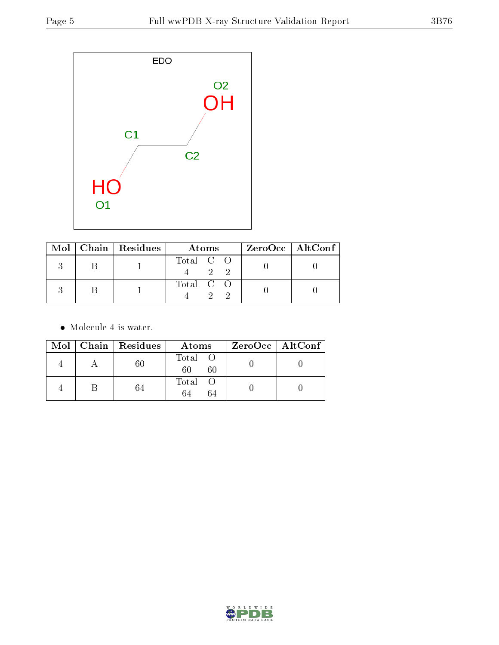

|  | $Mol$   Chain   Residues | Atoms     | $ZeroOcc \   \$ AltConf |
|--|--------------------------|-----------|-------------------------|
|  |                          | Total C O |                         |
|  |                          | Total C O |                         |

• Molecule 4 is water.

|  | Mol   Chain   Residues | Atoms               | ZeroOcc   AltConf |
|--|------------------------|---------------------|-------------------|
|  |                        | Total O<br>60<br>60 |                   |
|  | 64                     | Total O<br>64<br>64 |                   |

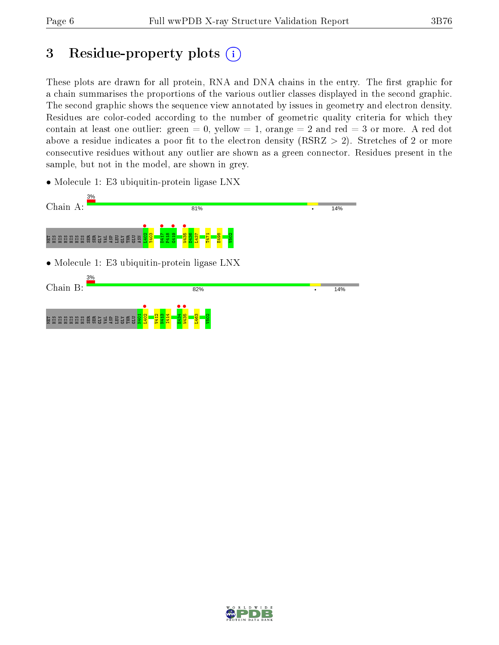# 3 Residue-property plots  $(i)$

These plots are drawn for all protein, RNA and DNA chains in the entry. The first graphic for a chain summarises the proportions of the various outlier classes displayed in the second graphic. The second graphic shows the sequence view annotated by issues in geometry and electron density. Residues are color-coded according to the number of geometric quality criteria for which they contain at least one outlier: green  $= 0$ , yellow  $= 1$ , orange  $= 2$  and red  $= 3$  or more. A red dot above a residue indicates a poor fit to the electron density (RSRZ  $> 2$ ). Stretches of 2 or more consecutive residues without any outlier are shown as a green connector. Residues present in the sample, but not in the model, are shown in grey.

• Molecule 1: E3 ubiquitin-protein ligase LNX



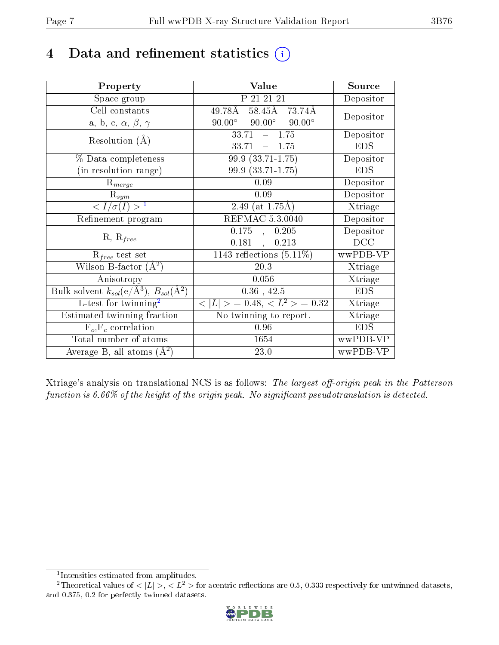# 4 Data and refinement statistics  $(i)$

| Property                                                                | Value                                           | Source     |
|-------------------------------------------------------------------------|-------------------------------------------------|------------|
| Space group                                                             | P 21 21 21                                      | Depositor  |
| Cell constants                                                          | $49.78\text{\AA}$<br>58.45Å<br>73.74Å           | Depositor  |
| a, b, c, $\alpha$ , $\beta$ , $\gamma$                                  | $90.00^\circ$<br>$90.00^\circ$<br>$90.00^\circ$ |            |
| Resolution $(A)$                                                        | $-1.75$<br>33.71                                | Depositor  |
|                                                                         | 33.71<br>$-1.75$                                | <b>EDS</b> |
| % Data completeness                                                     | 99.9 (33.71-1.75)                               | Depositor  |
| (in resolution range)                                                   | 99.9 (33.71-1.75)                               | <b>EDS</b> |
| $R_{merge}$                                                             | 0.09                                            | Depositor  |
| $\mathrm{R}_{sym}$                                                      | 0.09                                            | Depositor  |
| $\langle I/\sigma(I) \rangle^{-1}$                                      | 2.49 (at $1.75\overline{\mathrm{A}}$ )          | Xtriage    |
| Refinement program                                                      | REFMAC 5.3.0040                                 | Depositor  |
| $R, R_{free}$                                                           | 0.175<br>0.205<br>$\overline{\phantom{a}}$      | Depositor  |
|                                                                         | 0.181<br>0.213<br>$\ddot{\phantom{a}}$          | DCC        |
| $\mathcal{R}_{free}$ test set                                           | $1143$ reflections $(5.11\%)$                   | wwPDB-VP   |
| Wilson B-factor $(A^2)$                                                 | 20.3                                            | Xtriage    |
| Anisotropy                                                              | 0.056                                           | Xtriage    |
| Bulk solvent $k_{sol}(\mathrm{e}/\mathrm{A}^3),\,B_{sol}(\mathrm{A}^2)$ | $0.36$ , 42.5                                   | <b>EDS</b> |
| L-test for twinning <sup>2</sup>                                        | $< L >$ = 0.48, $< L^2 >$ = 0.32                | Xtriage    |
| Estimated twinning fraction                                             | No twinning to report.                          | Xtriage    |
| $F_o, F_c$ correlation                                                  | 0.96                                            | <b>EDS</b> |
| Total number of atoms                                                   | 1654                                            | wwPDB-VP   |
| Average B, all atoms $(A^2)$                                            | 23.0                                            | wwPDB-VP   |

Xtriage's analysis on translational NCS is as follows: The largest off-origin peak in the Patterson function is  $6.66\%$  of the height of the origin peak. No significant pseudotranslation is detected.

<sup>&</sup>lt;sup>2</sup>Theoretical values of  $\langle |L| \rangle$ ,  $\langle L^2 \rangle$  for acentric reflections are 0.5, 0.333 respectively for untwinned datasets, and 0.375, 0.2 for perfectly twinned datasets.



<span id="page-6-1"></span><span id="page-6-0"></span><sup>1</sup> Intensities estimated from amplitudes.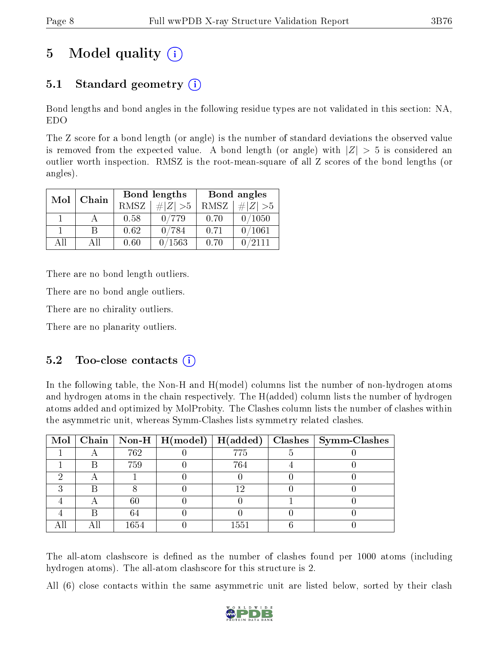# 5 Model quality  $(i)$

# 5.1 Standard geometry (i)

Bond lengths and bond angles in the following residue types are not validated in this section: NA, EDO

The Z score for a bond length (or angle) is the number of standard deviations the observed value is removed from the expected value. A bond length (or angle) with  $|Z| > 5$  is considered an outlier worth inspection. RMSZ is the root-mean-square of all Z scores of the bond lengths (or angles).

| Mol | Chain |             | Bond lengths | Bond angles |             |  |
|-----|-------|-------------|--------------|-------------|-------------|--|
|     |       | <b>RMSZ</b> | $\# Z  > 5$  | RMSZ        | $\ Z\  > 5$ |  |
|     |       | 0.58        | 0/779        | 0.70        | 0/1050      |  |
|     | R     | 0.62        | 0/784        | 0.71        | 0/1061      |  |
| ΔH  | ΑH    | 0.60        | 0/1563       | 0.70        | /2111       |  |

There are no bond length outliers.

There are no bond angle outliers.

There are no chirality outliers.

There are no planarity outliers.

### $5.2$  Too-close contacts  $(i)$

In the following table, the Non-H and H(model) columns list the number of non-hydrogen atoms and hydrogen atoms in the chain respectively. The H(added) column lists the number of hydrogen atoms added and optimized by MolProbity. The Clashes column lists the number of clashes within the asymmetric unit, whereas Symm-Clashes lists symmetry related clashes.

|   |      |      | Mol   Chain   Non-H   H(model)   H(added)   Clashes   Symm-Clashes |
|---|------|------|--------------------------------------------------------------------|
|   | 762  | 775  |                                                                    |
|   | 759  | 764  |                                                                    |
|   |      |      |                                                                    |
| ച |      | 19   |                                                                    |
|   | 60   |      |                                                                    |
|   | 64   |      |                                                                    |
|   | 1654 | 1551 |                                                                    |

The all-atom clashscore is defined as the number of clashes found per 1000 atoms (including hydrogen atoms). The all-atom clashscore for this structure is 2.

All (6) close contacts within the same asymmetric unit are listed below, sorted by their clash

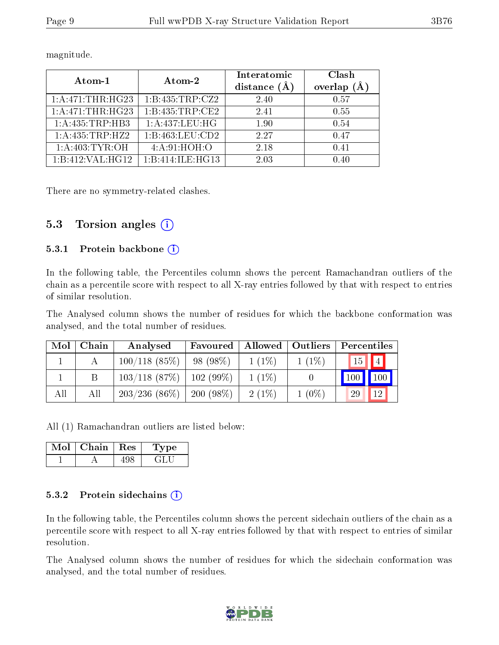| Atom-1              | Atom-2              | Interatomic    | Clash         |
|---------------------|---------------------|----------------|---------------|
|                     |                     | distance $(A)$ | (Å<br>overlap |
| 1:A:471:THR:HG23    | 1:B:435:TRP:CZ2     | 2.40           | 0.57          |
| 1:A:471:THR:HG23    | 1: B: 435: TRP: CE2 | 2.41           | 0.55          |
| 1:A:435:TRP:HB3     | 1: A: 437: LEU: HG  | 1.90           | 0.54          |
| 1: A: 435: TRP: HZ2 | 1:B:463:LEU:CD2     | 2.27           | 0.47          |
| 1: A:403: TYR:OH    | 4: A:91: HOH:O      | 2.18           | 0.41          |
| 1:B:412:VAL:HG12    | 1:B:414:ILE:HG13    | 2.03           | 0.40          |

magnitude.

There are no symmetry-related clashes.

### 5.3 Torsion angles  $(i)$

#### 5.3.1 Protein backbone (i)

In the following table, the Percentiles column shows the percent Ramachandran outliers of the chain as a percentile score with respect to all X-ray entries followed by that with respect to entries of similar resolution.

The Analysed column shows the number of residues for which the backbone conformation was analysed, and the total number of residues.

| Mol | Chain | Analysed         | Favoured    | Allowed   Outliers |          | Percentiles                    |
|-----|-------|------------------|-------------|--------------------|----------|--------------------------------|
|     |       | $100/118$ (85%)  | $98(98\%)$  | $1(1\%)$           | $1(1\%)$ | $\vert 15 \vert \vert 4 \vert$ |
|     |       | $103/118$ (87\%) | $102(99\%)$ | $1(1\%)$           |          | 100<br>100                     |
| All | All   | $203/236(86\%)$  | $200(98\%)$ | $2(1\%)$           | $1(0\%)$ | 12<br>29                       |

All (1) Ramachandran outliers are listed below:

| Mol | Chain | Res | vpe |
|-----|-------|-----|-----|
|     |       |     |     |

#### 5.3.2 Protein sidechains  $(i)$

In the following table, the Percentiles column shows the percent sidechain outliers of the chain as a percentile score with respect to all X-ray entries followed by that with respect to entries of similar resolution.

The Analysed column shows the number of residues for which the sidechain conformation was analysed, and the total number of residues.

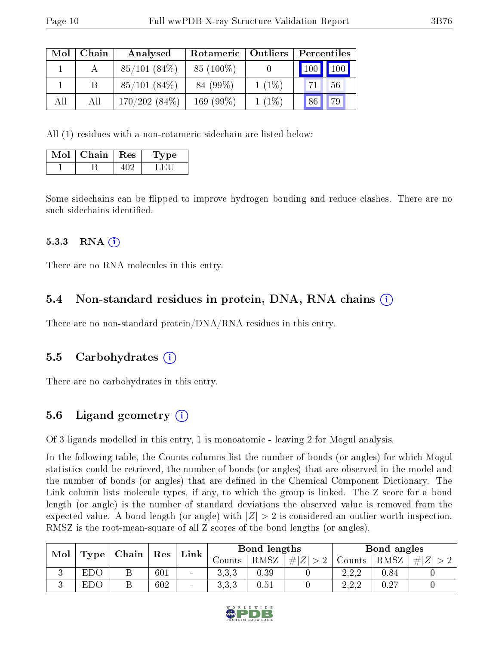| Mol | Chain | Analysed        | Rotameric   | $\mid$ Outliers | Percentiles                |  |  |
|-----|-------|-----------------|-------------|-----------------|----------------------------|--|--|
|     |       | $85/101(84\%)$  | 85 (100\%)  |                 | 100<br>$\vert$ 100 $\vert$ |  |  |
|     |       | 85/101(84%)     | 84 (99%)    | $1(1\%)$        | 56                         |  |  |
| All | All   | $170/202(84\%)$ | $169(99\%)$ | $1(1\%)$        | 79<br>86                   |  |  |

All (1) residues with a non-rotameric sidechain are listed below:

| Mol | $\mid$ Chain $\mid$ Res | 'Type |
|-----|-------------------------|-------|
|     |                         |       |

Some sidechains can be flipped to improve hydrogen bonding and reduce clashes. There are no such sidechains identified.

#### 5.3.3 RNA (1)

There are no RNA molecules in this entry.

### 5.4 Non-standard residues in protein, DNA, RNA chains (i)

There are no non-standard protein/DNA/RNA residues in this entry.

### 5.5 Carbohydrates (i)

There are no carbohydrates in this entry.

### 5.6 Ligand geometry (i)

Of 3 ligands modelled in this entry, 1 is monoatomic - leaving 2 for Mogul analysis.

In the following table, the Counts columns list the number of bonds (or angles) for which Mogul statistics could be retrieved, the number of bonds (or angles) that are observed in the model and the number of bonds (or angles) that are dened in the Chemical Component Dictionary. The Link column lists molecule types, if any, to which the group is linked. The Z score for a bond length (or angle) is the number of standard deviations the observed value is removed from the expected value. A bond length (or angle) with  $|Z| > 2$  is considered an outlier worth inspection. RMSZ is the root-mean-square of all Z scores of the bond lengths (or angles).

| Mol | Type | Chain |     | Res<br>Link              | Bond lengths   |             |         | Bond angles                                                            |          |        |
|-----|------|-------|-----|--------------------------|----------------|-------------|---------|------------------------------------------------------------------------|----------|--------|
|     |      |       |     |                          | Jounts -       | <b>RMSZ</b> | $\# Z $ | Counts                                                                 | RMSZ     | $\#Z'$ |
| ◡   | EDO  | D     | 601 | $\overline{\phantom{a}}$ | າ າ າ<br>U.U.U | 0.39        |         | つつつ<br>4.4.Z                                                           | 0.84     |        |
|     | EDC  | ⊔     | 602 | $\blacksquare$           | າ າ າ<br>∪.∪.∪ | 0.51        |         | റററ<br>$\overline{\omega}$ , $\overline{\omega}$ , $\overline{\omega}$ | $0.27\,$ |        |

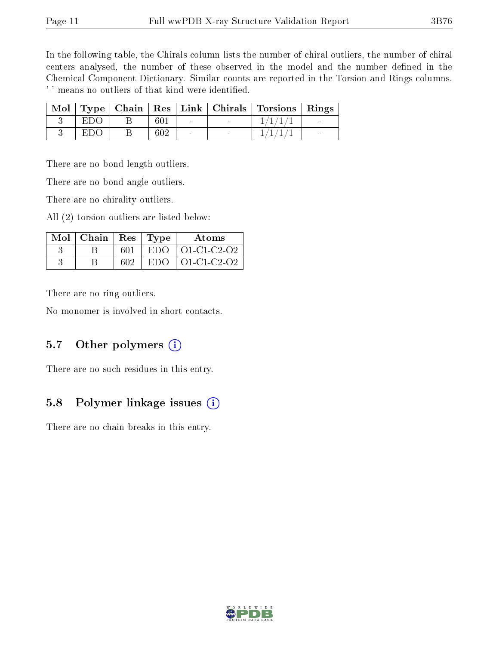In the following table, the Chirals column lists the number of chiral outliers, the number of chiral centers analysed, the number of these observed in the model and the number defined in the Chemical Component Dictionary. Similar counts are reported in the Torsion and Rings columns. '-' means no outliers of that kind were identified.

|            |     |                          | Mol   Type   Chain   Res   Link   Chirals   Torsions   Rings |  |
|------------|-----|--------------------------|--------------------------------------------------------------|--|
| EDO        | 601 | <b>Contract Contract</b> | 1/1/1/1                                                      |  |
| <b>EDO</b> | 602 |                          |                                                              |  |

There are no bond length outliers.

There are no bond angle outliers.

There are no chirality outliers.

All (2) torsion outliers are listed below:

| $Mol$   Chain   Res   Type |     |       | Atoms                  |
|----------------------------|-----|-------|------------------------|
|                            | 601 |       | $EDO$   $O1$ -C1-C2-O2 |
|                            | 602 | EDO - | 01-C1-C2-O2            |

There are no ring outliers.

No monomer is involved in short contacts.

### 5.7 [O](https://www.wwpdb.org/validation/2017/XrayValidationReportHelp#nonstandard_residues_and_ligands)ther polymers  $(i)$

There are no such residues in this entry.

### 5.8 Polymer linkage issues  $(i)$

There are no chain breaks in this entry.

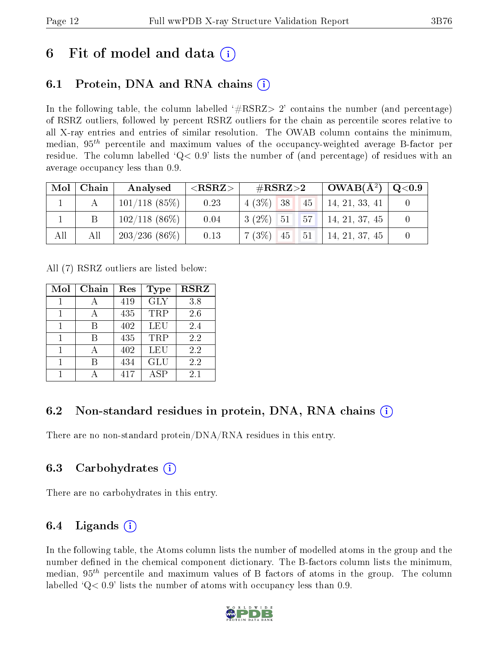# 6 Fit of model and data  $\left( \cdot \right)$

# 6.1 Protein, DNA and RNA chains (i)

In the following table, the column labelled  $#RSRZ>2'$  contains the number (and percentage) of RSRZ outliers, followed by percent RSRZ outliers for the chain as percentile scores relative to all X-ray entries and entries of similar resolution. The OWAB column contains the minimum, median,  $95<sup>th</sup>$  percentile and maximum values of the occupancy-weighted average B-factor per residue. The column labelled  $Q < 0.9$  lists the number of (and percentage) of residues with an average occupancy less than 0.9.

| Mol | Chain | Analysed         | ${ <\hspace{-1.5pt}{\mathrm{RSRZ}} \hspace{-1.5pt}>}$ | $\#\text{RSRZ}{>}2$ | $\text{OWAB}(\AA^2)$ | $\pm$ Q<0.9 |
|-----|-------|------------------|-------------------------------------------------------|---------------------|----------------------|-------------|
|     |       | $101/118$ (85%)  | 0.23                                                  | $4(3\%)$ 38<br>45   | 14, 21, 33, 41       |             |
|     |       | $102/118$ (86\%) | 0.04                                                  | 57 <br>$3(2\%)$ 51  | 14, 21, 37, 45       |             |
| All | All   | $203/236(86\%)$  | 0.13                                                  | $7(3\%)$ 45<br>51   | 14, 21, 37, 45       |             |

All (7) RSRZ outliers are listed below:

| Mol | Chain | Res | Type       | <b>RSRZ</b> |
|-----|-------|-----|------------|-------------|
|     |       | 419 | <b>GLY</b> | 3.8         |
| 1   |       | 435 | TRP        | 2.6         |
|     | В     | 402 | LEU        | 2.4         |
| 1   | R     | 435 | <b>TRP</b> | 2.2         |
| 1   |       | 402 | LEU        | 2.2         |
|     |       | 434 | GLU        | 2.2         |
|     |       | 417 | ASP        | 2.1         |

### 6.2 Non-standard residues in protein, DNA, RNA chains (i)

There are no non-standard protein/DNA/RNA residues in this entry.

### 6.3 Carbohydrates (i)

There are no carbohydrates in this entry.

# 6.4 Ligands  $(i)$

In the following table, the Atoms column lists the number of modelled atoms in the group and the number defined in the chemical component dictionary. The B-factors column lists the minimum, median,  $95<sup>th</sup>$  percentile and maximum values of B factors of atoms in the group. The column labelled  $Q< 0.9$ ' lists the number of atoms with occupancy less than 0.9.